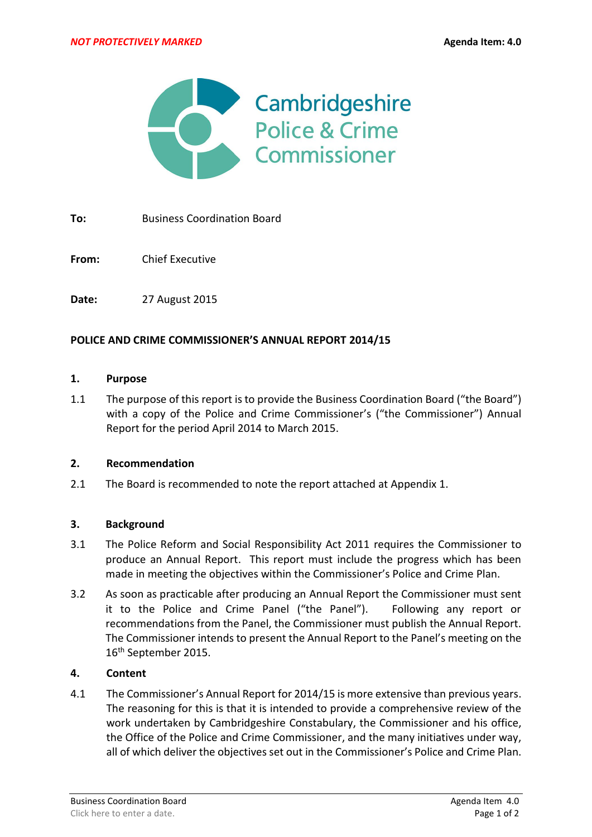

**To:** Business Coordination Board

**From:** Chief Executive

**Date:** 27 August 2015

### **POLICE AND CRIME COMMISSIONER'S ANNUAL REPORT 2014/15**

#### **1. Purpose**

1.1 The purpose of this report is to provide the Business Coordination Board ("the Board") with a copy of the Police and Crime Commissioner's ("the Commissioner") Annual Report for the period April 2014 to March 2015.

### **2. Recommendation**

2.1 The Board is recommended to note the report attached at Appendix 1.

### **3. Background**

- 3.1 The Police Reform and Social Responsibility Act 2011 requires the Commissioner to produce an Annual Report. This report must include the progress which has been made in meeting the objectives within the Commissioner's Police and Crime Plan.
- 3.2 As soon as practicable after producing an Annual Report the Commissioner must sent it to the Police and Crime Panel ("the Panel"). Following any report or recommendations from the Panel, the Commissioner must publish the Annual Report. The Commissioner intends to present the Annual Report to the Panel's meeting on the 16th September 2015.

### **4. Content**

4.1 The Commissioner's Annual Report for 2014/15 is more extensive than previous years. The reasoning for this is that it is intended to provide a comprehensive review of the work undertaken by Cambridgeshire Constabulary, the Commissioner and his office, the Office of the Police and Crime Commissioner, and the many initiatives under way, all of which deliver the objectives set out in the Commissioner's Police and Crime Plan.